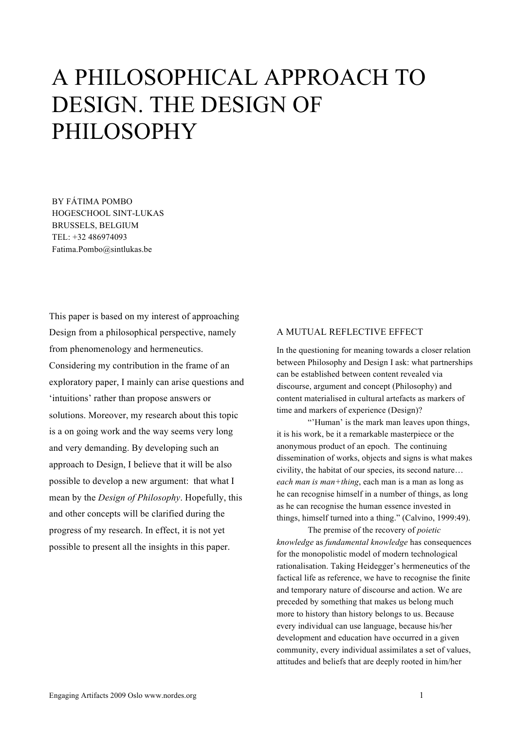## A PHILOSOPHICAL APPROACH TO DESIGN. THE DESIGN OF PHILOSOPHY

BY FÁTIMA POMBO HOGESCHOOL SINT-LUKAS BRUSSELS, BELGIUM TEL: +32 486974093 Fatima.Pombo@sintlukas.be

This paper is based on my interest of approaching Design from a philosophical perspective, namely from phenomenology and hermeneutics. Considering my contribution in the frame of an exploratory paper, I mainly can arise questions and 'intuitions' rather than propose answers or solutions. Moreover, my research about this topic is a on going work and the way seems very long and very demanding. By developing such an approach to Design, I believe that it will be also possible to develop a new argument: that what I mean by the *Design of Philosophy*. Hopefully, this and other concepts will be clarified during the progress of my research. In effect, it is not yet possible to present all the insights in this paper.

## A MUTUAL REFLECTIVE EFFECT

In the questioning for meaning towards a closer relation between Philosophy and Design I ask: what partnerships can be established between content revealed via discourse, argument and concept (Philosophy) and content materialised in cultural artefacts as markers of time and markers of experience (Design)?

"'Human' is the mark man leaves upon things, it is his work, be it a remarkable masterpiece or the anonymous product of an epoch. The continuing dissemination of works, objects and signs is what makes civility, the habitat of our species, its second nature… *each man is man+thing*, each man is a man as long as he can recognise himself in a number of things, as long as he can recognise the human essence invested in things, himself turned into a thing." (Calvino, 1999:49).

The premise of the recovery of *poietic knowledge* as *fundamental knowledge* has consequences for the monopolistic model of modern technological rationalisation. Taking Heidegger's hermeneutics of the factical life as reference, we have to recognise the finite and temporary nature of discourse and action. We are preceded by something that makes us belong much more to history than history belongs to us. Because every individual can use language, because his/her development and education have occurred in a given community, every individual assimilates a set of values, attitudes and beliefs that are deeply rooted in him/her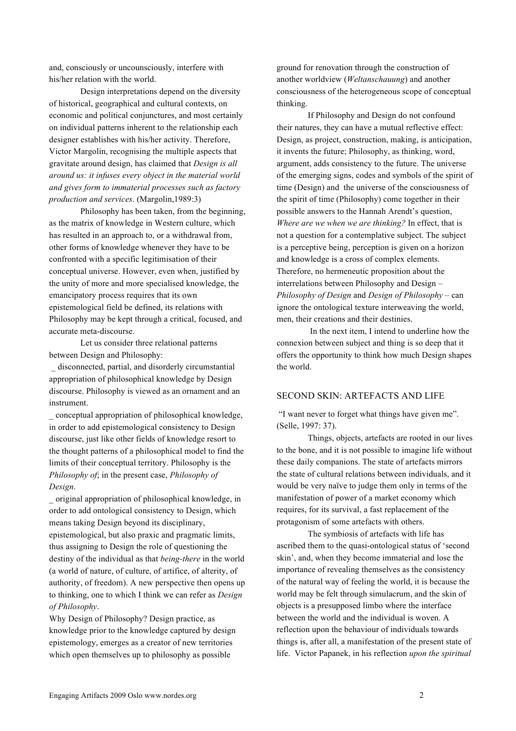and, consciously or uncounsciously, interfere with his/her relation with the world.

Design interpretations depend on the diversity of historical, geographical and cultural contexts, on economic and political conjunctures, and most certainly on individual patterns inherent to the relationship each designer establishes with his/her activity. Therefore, Victor Margolin, recognising the multiple aspects that gravitate around design, has claimed that *Design is all around us: it infuses every object in the material world and gives form to immaterial processes such as factory production and services*. (Margolin,1989:3)

Philosophy has been taken, from the beginning, as the matrix of knowledge in Western culture, which has resulted in an approach to, or a withdrawal from, other forms of knowledge whenever they have to be confronted with a specific legitimisation of their conceptual universe. However, even when, justified by the unity of more and more specialised knowledge, the emancipatory process requires that its own epistemological field be defined, its relations with Philosophy may be kept through a critical, focused, and accurate meta-discourse.

Let us consider three relational patterns between Design and Philosophy:

disconnected, partial, and disorderly circumstantial appropriation of philosophical knowledge by Design discourse. Philosophy is viewed as an ornament and an instrument.

\_ conceptual appropriation of philosophical knowledge, in order to add epistemological consistency to Design discourse, just like other fields of knowledge resort to the thought patterns of a philosophical model to find the limits of their conceptual territory. Philosophy is the *Philosophy of*; in the present case, *Philosophy of Design*.

\_ original appropriation of philosophical knowledge, in order to add ontological consistency to Design, which means taking Design beyond its disciplinary, epistemological, but also praxic and pragmatic limits, thus assigning to Design the role of questioning the destiny of the individual as that *being-there* in the world (a world of nature, of culture, of artifice, of alterity, of authority, of freedom). A new perspective then opens up to thinking, one to which I think we can refer as *Design of Philosophy*.

Why Design of Philosophy? Design practice, as knowledge prior to the knowledge captured by design epistemology, emerges as a creator of new territories which open themselves up to philosophy as possible

ground for renovation through the construction of another worldview (*Weltanschauung*) and another consciousness of the heterogeneous scope of conceptual thinking.

If Philosophy and Design do not confound their natures, they can have a mutual reflective effect: Design, as project, construction, making, is anticipation, it invents the future; Philosophy, as thinking, word, argument, adds consistency to the future. The universe of the emerging signs, codes and symbols of the spirit of time (Design) and the universe of the consciousness of the spirit of time (Philosophy) come together in their possible answers to the Hannah Arendt's question, *Where are we when we are thinking?* In effect, that is not a question for a contemplative subject. The subject is a perceptive being, perception is given on a horizon and knowledge is a cross of complex elements. Therefore, no hermeneutic proposition about the interrelations between Philosophy and Design – *Philosophy of Design* and *Design of Philosophy* – can ignore the ontological texture interweaving the world, men, their creations and their destinies.

 In the next item, I intend to underline how the connexion between subject and thing is so deep that it offers the opportunity to think how much Design shapes the world.

## SECOND SKIN: ARTEFACTS AND LIFE

"I want never to forget what things have given me". (Selle, 1997: 37).

Things, objects, artefacts are rooted in our lives to the bone, and it is not possible to imagine life without these daily companions. The state of artefacts mirrors the state of cultural relations between individuals, and it would be very naïve to judge them only in terms of the manifestation of power of a market economy which requires, for its survival, a fast replacement of the protagonism of some artefacts with others.

The symbiosis of artefacts with life has ascribed them to the quasi-ontological status of 'second skin', and, when they become immaterial and lose the importance of revealing themselves as the consistency of the natural way of feeling the world, it is because the world may be felt through simulacrum, and the skin of objects is a presupposed limbo where the interface between the world and the individual is woven. A reflection upon the behaviour of individuals towards things is, after all, a manifestation of the present state of life. Victor Papanek, in his reflection *upon the spiritual*